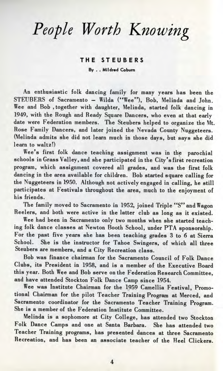## *People Worth Knowing*

## **T H E S T EUBER S**

**By . . Mildred Coburn**

An enthusiastic folk dancing family for many years has been the STEUBERS of Sacramento - Wilda ("Wee"), Bob, Melinda and John. Wee and Bob , together with daughter, Melinda, started folk dancing in 1949, with the Rough and Ready Square Dancers, who even at that early date were Federation members. The Steubers helped to organize the Mt. Rose Family Dancers, and later joined the Nevada County Nuggeteers. (Melinda admits she did not learn much in those days, but says she did learn to waltz!)

Wee's first folk dance teaching assignment was in the parochial schools in Grass Valley, and she participated in the City's first recreation program, which assignment covered all grades, and was the first folk dancing in the area available for children. Bob started square calling for the Nuggeteers in 1950. Although not actively engaged in calling, he still participates at Festivals throughout the area, much to the enjoyment of his friends.

The family moved to Sacramento in 1952, joined Triple "S" and Wagon Reelers, and both were active in the latter club as long as it existed.

Wee had been in Sacramento only two months when she started teaching folk dance classes at Newton Booth School, under PTA sponsorship. For the past five years she has been teaching grades 3 to 6 at Sierra School. She is the instructor for Tahoe Swingers, of which all three Steubers are members, and a City Recreation class.

Bob was finance chairman for the Sacramento Council of Folk Dance Clubs, its President in 1958, and is a member of the Executive Board this year. Both Wee and Bob serve on the Federation Research Committee, and have attended Stockton Folk Dance Camp since 1954.

Wee was Institute Chairman for the 1959 Camellia Festival, Promotional Chairman for the pilot Teacher Training Program at Merced, and Sacramento coordinator for the Sacramento Teacher Training Program. She is a member of the Federation Institute Committee.

Melinda is a sophomore at City College, has attended two Stockton Folk Dance Camps and one at Santa Barbara. She has attended two Teacher Training programs, has presented dances at three Sacramento Recreation, and has been an associate teacher of the Heel Clickers.